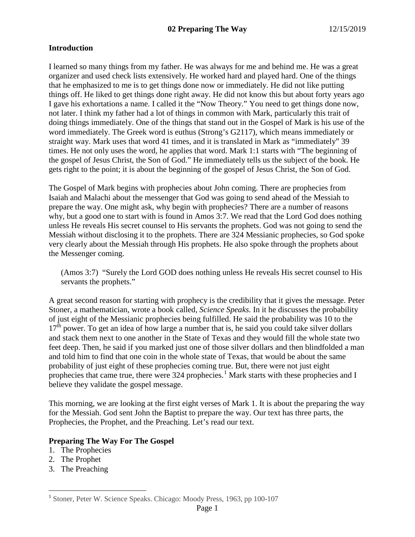# **Introduction**

I learned so many things from my father. He was always for me and behind me. He was a great organizer and used check lists extensively. He worked hard and played hard. One of the things that he emphasized to me is to get things done now or immediately. He did not like putting things off. He liked to get things done right away. He did not know this but about forty years ago I gave his exhortations a name. I called it the "Now Theory." You need to get things done now, not later. I think my father had a lot of things in common with Mark, particularly this trait of doing things immediately. One of the things that stand out in the Gospel of Mark is his use of the word immediately. The Greek word is euthus (Strong's G2117), which means immediately or straight way. Mark uses that word 41 times, and it is translated in Mark as "immediately" 39 times. He not only uses the word, he applies that word. Mark 1:1 starts with "The beginning of the gospel of Jesus Christ, the Son of God." He immediately tells us the subject of the book. He gets right to the point; it is about the beginning of the gospel of Jesus Christ, the Son of God.

The Gospel of Mark begins with prophecies about John coming. There are prophecies from Isaiah and Malachi about the messenger that God was going to send ahead of the Messiah to prepare the way. One might ask, why begin with prophecies? There are a number of reasons why, but a good one to start with is found in Amos 3:7. We read that the Lord God does nothing unless He reveals His secret counsel to His servants the prophets. God was not going to send the Messiah without disclosing it to the prophets. There are 324 Messianic prophecies, so God spoke very clearly about the Messiah through His prophets. He also spoke through the prophets about the Messenger coming.

(Amos 3:7) "Surely the Lord GOD does nothing unless He reveals His secret counsel to His servants the prophets."

A great second reason for starting with prophecy is the credibility that it gives the message. Peter Stoner, a mathematician, wrote a book called, *Science Speaks*. In it he discusses the probability of just eight of the Messianic prophecies being fulfilled. He said the probability was 10 to the  $17<sup>th</sup>$  power. To get an idea of how large a number that is, he said you could take silver dollars and stack them next to one another in the State of Texas and they would fill the whole state two feet deep. Then, he said if you marked just one of those silver dollars and then blindfolded a man and told him to find that one coin in the whole state of Texas, that would be about the same probability of just eight of these prophecies coming true. But, there were not just eight prophecies that came true, there were  $324$  prophecies.<sup>[1](#page-0-0)</sup> Mark starts with these prophecies and I believe they validate the gospel message.

This morning, we are looking at the first eight verses of Mark 1. It is about the preparing the way for the Messiah. God sent John the Baptist to prepare the way. Our text has three parts, the Prophecies, the Prophet, and the Preaching. Let's read our text.

## **Preparing The Way For The Gospel**

- 1. The Prophecies
- 2. The Prophet
- 3. The Preaching

<span id="page-0-0"></span> <sup>1</sup> Stoner, Peter W. Science Speaks. Chicago: Moody Press, 1963, pp 100-107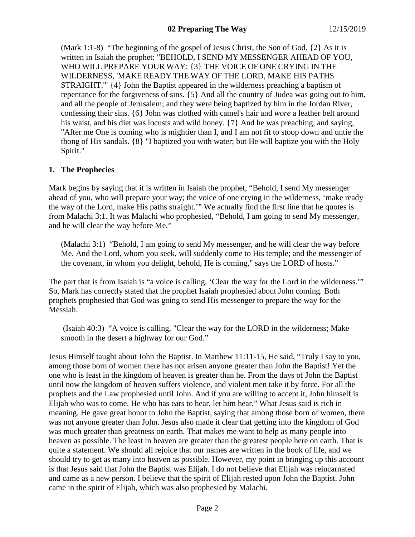(Mark 1:1-8) "The beginning of the gospel of Jesus Christ, the Son of God. {2} As it is written in Isaiah the prophet: "BEHOLD, I SEND MY MESSENGER AHEAD OF YOU, WHO WILL PREPARE YOUR WAY; {3} THE VOICE OF ONE CRYING IN THE WILDERNESS, 'MAKE READY THE WAY OF THE LORD, MAKE HIS PATHS STRAIGHT.'" {4} John the Baptist appeared in the wilderness preaching a baptism of repentance for the forgiveness of sins. {5} And all the country of Judea was going out to him, and all the people of Jerusalem; and they were being baptized by him in the Jordan River, confessing their sins. {6} John was clothed with camel's hair and *wore* a leather belt around his waist, and his diet was locusts and wild honey. {7} And he was preaching, and saying, "After me One is coming who is mightier than I, and I am not fit to stoop down and untie the thong of His sandals. {8} "I baptized you with water; but He will baptize you with the Holy Spirit."

## **1. The Prophecies**

Mark begins by saying that it is written in Isaiah the prophet, "Behold, I send My messenger ahead of you, who will prepare your way; the voice of one crying in the wilderness, 'make ready the way of the Lord, make His paths straight.'" We actually find the first line that he quotes is from Malachi 3:1. It was Malachi who prophesied, "Behold, I am going to send My messenger, and he will clear the way before Me."

(Malachi 3:1) "Behold, I am going to send My messenger, and he will clear the way before Me. And the Lord, whom you seek, will suddenly come to His temple; and the messenger of the covenant, in whom you delight, behold, He is coming," says the LORD of hosts."

The part that is from Isaiah is "a voice is calling, 'Clear the way for the Lord in the wilderness.'" So, Mark has correctly stated that the prophet Isaiah prophesied about John coming. Both prophets prophesied that God was going to send His messenger to prepare the way for the Messiah.

(Isaiah 40:3) "A voice is calling, "Clear the way for the LORD in the wilderness; Make smooth in the desert a highway for our God."

Jesus Himself taught about John the Baptist. In Matthew 11:11-15, He said, "Truly I say to you, among those born of women there has not arisen anyone greater than John the Baptist! Yet the one who is least in the kingdom of heaven is greater than he. From the days of John the Baptist until now the kingdom of heaven suffers violence, and violent men take it by force. For all the prophets and the Law prophesied until John. And if you are willing to accept it, John himself is Elijah who was to come. He who has ears to hear, let him hear." What Jesus said is rich in meaning. He gave great honor to John the Baptist, saying that among those born of women, there was not anyone greater than John. Jesus also made it clear that getting into the kingdom of God was much greater than greatness on earth. That makes me want to help as many people into heaven as possible. The least in heaven are greater than the greatest people here on earth. That is quite a statement. We should all rejoice that our names are written in the book of life, and we should try to get as many into heaven as possible. However, my point in bringing up this account is that Jesus said that John the Baptist was Elijah. I do not believe that Elijah was reincarnated and came as a new person. I believe that the spirit of Elijah rested upon John the Baptist. John came in the spirit of Elijah, which was also prophesied by Malachi.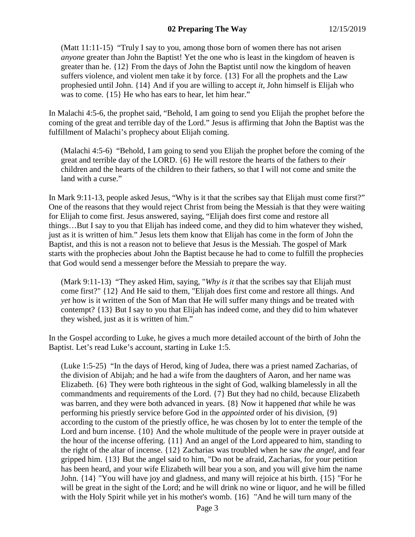(Matt 11:11-15) "Truly I say to you, among those born of women there has not arisen *anyone* greater than John the Baptist! Yet the one who is least in the kingdom of heaven is greater than he. {12} From the days of John the Baptist until now the kingdom of heaven suffers violence, and violent men take it by force. {13} For all the prophets and the Law prophesied until John. {14} And if you are willing to accept *it,* John himself is Elijah who was to come. {15} He who has ears to hear, let him hear."

In Malachi 4:5-6, the prophet said, "Behold, I am going to send you Elijah the prophet before the coming of the great and terrible day of the Lord." Jesus is affirming that John the Baptist was the fulfillment of Malachi's prophecy about Elijah coming.

(Malachi 4:5-6) "Behold, I am going to send you Elijah the prophet before the coming of the great and terrible day of the LORD. {6} He will restore the hearts of the fathers to *their* children and the hearts of the children to their fathers, so that I will not come and smite the land with a curse."

In Mark 9:11-13, people asked Jesus, "Why is it that the scribes say that Elijah must come first?" One of the reasons that they would reject Christ from being the Messiah is that they were waiting for Elijah to come first. Jesus answered, saying, "Elijah does first come and restore all things…But I say to you that Elijah has indeed come, and they did to him whatever they wished, just as it is written of him." Jesus lets them know that Elijah has come in the form of John the Baptist, and this is not a reason not to believe that Jesus is the Messiah. The gospel of Mark starts with the prophecies about John the Baptist because he had to come to fulfill the prophecies that God would send a messenger before the Messiah to prepare the way.

(Mark 9:11-13) "They asked Him, saying, "*Why is it* that the scribes say that Elijah must come first?" {12} And He said to them, "Elijah does first come and restore all things. And *yet* how is it written of the Son of Man that He will suffer many things and be treated with contempt? {13} But I say to you that Elijah has indeed come, and they did to him whatever they wished, just as it is written of him."

In the Gospel according to Luke, he gives a much more detailed account of the birth of John the Baptist. Let's read Luke's account, starting in Luke 1:5.

(Luke 1:5-25) "In the days of Herod, king of Judea, there was a priest named Zacharias, of the division of Abijah; and he had a wife from the daughters of Aaron, and her name was Elizabeth. {6} They were both righteous in the sight of God, walking blamelessly in all the commandments and requirements of the Lord. {7} But they had no child, because Elizabeth was barren, and they were both advanced in years. {8} Now it happened *that* while he was performing his priestly service before God in the *appointed* order of his division, {9} according to the custom of the priestly office, he was chosen by lot to enter the temple of the Lord and burn incense.  $\{10\}$  And the whole multitude of the people were in prayer outside at the hour of the incense offering. {11} And an angel of the Lord appeared to him, standing to the right of the altar of incense. {12} Zacharias was troubled when he saw *the angel,* and fear gripped him. {13} But the angel said to him, "Do not be afraid, Zacharias, for your petition has been heard, and your wife Elizabeth will bear you a son, and you will give him the name John. {14} "You will have joy and gladness, and many will rejoice at his birth. {15} "For he will be great in the sight of the Lord; and he will drink no wine or liquor, and he will be filled with the Holy Spirit while yet in his mother's womb. {16} "And he will turn many of the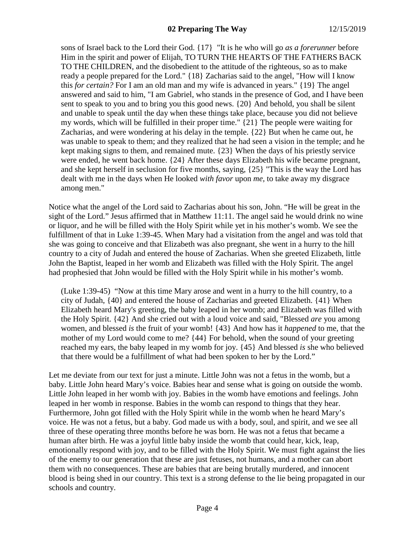sons of Israel back to the Lord their God. {17} "It is he who will go *as a forerunner* before Him in the spirit and power of Elijah, TO TURN THE HEARTS OF THE FATHERS BACK TO THE CHILDREN, and the disobedient to the attitude of the righteous, so as to make ready a people prepared for the Lord." {18} Zacharias said to the angel, "How will I know this *for certain?* For I am an old man and my wife is advanced in years." {19} The angel answered and said to him, "I am Gabriel, who stands in the presence of God, and I have been sent to speak to you and to bring you this good news. {20} And behold, you shall be silent and unable to speak until the day when these things take place, because you did not believe my words, which will be fulfilled in their proper time." {21} The people were waiting for Zacharias, and were wondering at his delay in the temple. {22} But when he came out, he was unable to speak to them; and they realized that he had seen a vision in the temple; and he kept making signs to them, and remained mute. {23} When the days of his priestly service were ended, he went back home. {24} After these days Elizabeth his wife became pregnant, and she kept herself in seclusion for five months, saying, {25} "This is the way the Lord has dealt with me in the days when He looked *with favor* upon *me,* to take away my disgrace among men."

Notice what the angel of the Lord said to Zacharias about his son, John. "He will be great in the sight of the Lord." Jesus affirmed that in Matthew 11:11. The angel said he would drink no wine or liquor, and he will be filled with the Holy Spirit while yet in his mother's womb. We see the fulfillment of that in Luke 1:39-45. When Mary had a visitation from the angel and was told that she was going to conceive and that Elizabeth was also pregnant, she went in a hurry to the hill country to a city of Judah and entered the house of Zacharias. When she greeted Elizabeth, little John the Baptist, leaped in her womb and Elizabeth was filled with the Holy Spirit. The angel had prophesied that John would be filled with the Holy Spirit while in his mother's womb.

(Luke 1:39-45) "Now at this time Mary arose and went in a hurry to the hill country, to a city of Judah, {40} and entered the house of Zacharias and greeted Elizabeth. {41} When Elizabeth heard Mary's greeting, the baby leaped in her womb; and Elizabeth was filled with the Holy Spirit. {42} And she cried out with a loud voice and said, "Blessed *are* you among women, and blessed *is* the fruit of your womb! {43} And how has it *happened* to me, that the mother of my Lord would come to me? {44} For behold, when the sound of your greeting reached my ears, the baby leaped in my womb for joy. {45} And blessed *is* she who believed that there would be a fulfillment of what had been spoken to her by the Lord."

Let me deviate from our text for just a minute. Little John was not a fetus in the womb, but a baby. Little John heard Mary's voice. Babies hear and sense what is going on outside the womb. Little John leaped in her womb with joy. Babies in the womb have emotions and feelings. John leaped in her womb in response. Babies in the womb can respond to things that they hear. Furthermore, John got filled with the Holy Spirit while in the womb when he heard Mary's voice. He was not a fetus, but a baby. God made us with a body, soul, and spirit, and we see all three of these operating three months before he was born. He was not a fetus that became a human after birth. He was a joyful little baby inside the womb that could hear, kick, leap, emotionally respond with joy, and to be filled with the Holy Spirit. We must fight against the lies of the enemy to our generation that these are just fetuses, not humans, and a mother can abort them with no consequences. These are babies that are being brutally murdered, and innocent blood is being shed in our country. This text is a strong defense to the lie being propagated in our schools and country.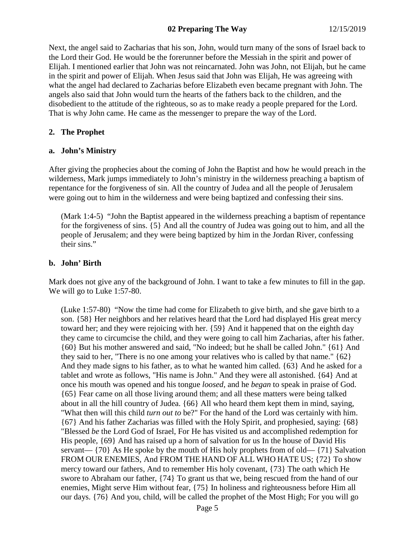### **02 Preparing The Way** 12/15/2019

Next, the angel said to Zacharias that his son, John, would turn many of the sons of Israel back to the Lord their God. He would be the forerunner before the Messiah in the spirit and power of Elijah. I mentioned earlier that John was not reincarnated. John was John, not Elijah, but he came in the spirit and power of Elijah. When Jesus said that John was Elijah, He was agreeing with what the angel had declared to Zacharias before Elizabeth even became pregnant with John. The angels also said that John would turn the hearts of the fathers back to the children, and the disobedient to the attitude of the righteous, so as to make ready a people prepared for the Lord. That is why John came. He came as the messenger to prepare the way of the Lord.

#### **2. The Prophet**

#### **a. John's Ministry**

After giving the prophecies about the coming of John the Baptist and how he would preach in the wilderness, Mark jumps immediately to John's ministry in the wilderness preaching a baptism of repentance for the forgiveness of sin. All the country of Judea and all the people of Jerusalem were going out to him in the wilderness and were being baptized and confessing their sins.

(Mark 1:4-5) "John the Baptist appeared in the wilderness preaching a baptism of repentance for the forgiveness of sins. {5} And all the country of Judea was going out to him, and all the people of Jerusalem; and they were being baptized by him in the Jordan River, confessing their sins."

## **b. John' Birth**

Mark does not give any of the background of John. I want to take a few minutes to fill in the gap. We will go to Luke 1:57-80.

(Luke 1:57-80) "Now the time had come for Elizabeth to give birth, and she gave birth to a son. {58} Her neighbors and her relatives heard that the Lord had displayed His great mercy toward her; and they were rejoicing with her. {59} And it happened that on the eighth day they came to circumcise the child, and they were going to call him Zacharias, after his father. {60} But his mother answered and said, "No indeed; but he shall be called John." {61} And they said to her, "There is no one among your relatives who is called by that name." {62} And they made signs to his father, as to what he wanted him called. {63} And he asked for a tablet and wrote as follows, "His name is John." And they were all astonished. {64} And at once his mouth was opened and his tongue *loosed,* and he *began* to speak in praise of God. {65} Fear came on all those living around them; and all these matters were being talked about in all the hill country of Judea. {66} All who heard them kept them in mind, saying, "What then will this child *turn out to* be?" For the hand of the Lord was certainly with him. {67} And his father Zacharias was filled with the Holy Spirit, and prophesied, saying: {68} "Blessed *be* the Lord God of Israel, For He has visited us and accomplished redemption for His people, {69} And has raised up a horn of salvation for us In the house of David His servant—  $\{70\}$  As He spoke by the mouth of His holy prophets from of old—  $\{71\}$  Salvation FROM OUR ENEMIES, And FROM THE HAND OF ALL WHO HATE US; {72} To show mercy toward our fathers, And to remember His holy covenant, {73} The oath which He swore to Abraham our father, {74} To grant us that we, being rescued from the hand of our enemies, Might serve Him without fear, {75} In holiness and righteousness before Him all our days. {76} And you, child, will be called the prophet of the Most High; For you will go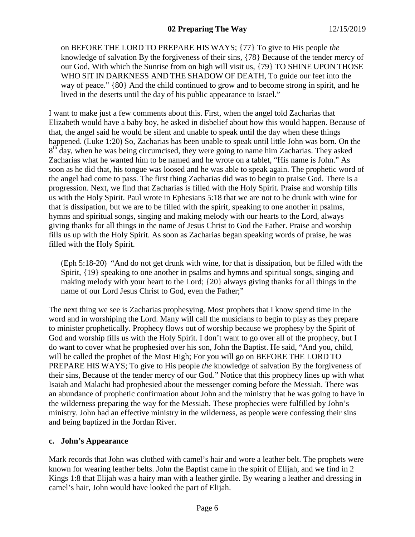on BEFORE THE LORD TO PREPARE HIS WAYS; {77} To give to His people *the* knowledge of salvation By the forgiveness of their sins, {78} Because of the tender mercy of our God, With which the Sunrise from on high will visit us, {79} TO SHINE UPON THOSE WHO SIT IN DARKNESS AND THE SHADOW OF DEATH, To guide our feet into the way of peace." {80} And the child continued to grow and to become strong in spirit, and he lived in the deserts until the day of his public appearance to Israel."

I want to make just a few comments about this. First, when the angel told Zacharias that Elizabeth would have a baby boy, he asked in disbelief about how this would happen. Because of that, the angel said he would be silent and unable to speak until the day when these things happened. (Luke 1:20) So, Zacharias has been unable to speak until little John was born. On the  $8<sup>th</sup>$  day, when he was being circumcised, they were going to name him Zacharias. They asked Zacharias what he wanted him to be named and he wrote on a tablet, "His name is John." As soon as he did that, his tongue was loosed and he was able to speak again. The prophetic word of the angel had come to pass. The first thing Zacharias did was to begin to praise God. There is a progression. Next, we find that Zacharias is filled with the Holy Spirit. Praise and worship fills us with the Holy Spirit. Paul wrote in Ephesians 5:18 that we are not to be drunk with wine for that is dissipation, but we are to be filled with the spirit, speaking to one another in psalms, hymns and spiritual songs, singing and making melody with our hearts to the Lord, always giving thanks for all things in the name of Jesus Christ to God the Father. Praise and worship fills us up with the Holy Spirit. As soon as Zacharias began speaking words of praise, he was filled with the Holy Spirit.

(Eph 5:18-20) "And do not get drunk with wine, for that is dissipation, but be filled with the Spirit,  $\{19\}$  speaking to one another in psalms and hymns and spiritual songs, singing and making melody with your heart to the Lord; {20} always giving thanks for all things in the name of our Lord Jesus Christ to God, even the Father;"

The next thing we see is Zacharias prophesying. Most prophets that I know spend time in the word and in worshiping the Lord. Many will call the musicians to begin to play as they prepare to minister prophetically. Prophecy flows out of worship because we prophesy by the Spirit of God and worship fills us with the Holy Spirit. I don't want to go over all of the prophecy, but I do want to cover what he prophesied over his son, John the Baptist. He said, "And you, child, will be called the prophet of the Most High; For you will go on BEFORE THE LORD TO PREPARE HIS WAYS; To give to His people *the* knowledge of salvation By the forgiveness of their sins, Because of the tender mercy of our God." Notice that this prophecy lines up with what Isaiah and Malachi had prophesied about the messenger coming before the Messiah. There was an abundance of prophetic confirmation about John and the ministry that he was going to have in the wilderness preparing the way for the Messiah. These prophecies were fulfilled by John's ministry. John had an effective ministry in the wilderness, as people were confessing their sins and being baptized in the Jordan River.

#### **c. John's Appearance**

Mark records that John was clothed with camel's hair and wore a leather belt. The prophets were known for wearing leather belts. John the Baptist came in the spirit of Elijah, and we find in 2 Kings 1:8 that Elijah was a hairy man with a leather girdle. By wearing a leather and dressing in camel's hair, John would have looked the part of Elijah.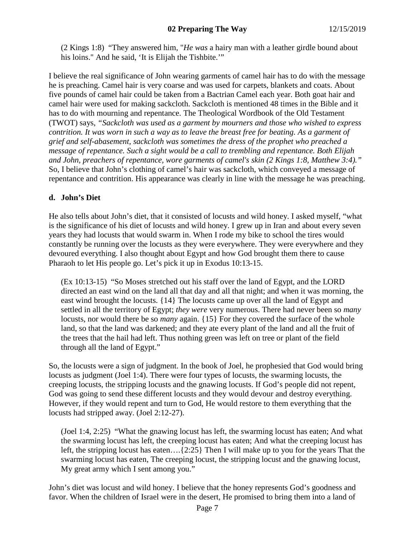(2 Kings 1:8) "They answered him, "*He was* a hairy man with a leather girdle bound about his loins." And he said, 'It is Elijah the Tishbite.""

I believe the real significance of John wearing garments of camel hair has to do with the message he is preaching. Camel hair is very coarse and was used for carpets, blankets and coats. About five pounds of camel hair could be taken from a Bactrian Camel each year. Both goat hair and camel hair were used for making sackcloth. Sackcloth is mentioned 48 times in the Bible and it has to do with mourning and repentance. The Theological Wordbook of the Old Testament (TWOT) says, *"Sackcloth was used as a garment by mourners and those who wished to express contrition. It was worn in such a way as to leave the breast free for beating. As a garment of grief and self-abasement, sackcloth was sometimes the dress of the prophet who preached a message of repentance. Such a sight would be a call to trembling and repentance. Both Elijah and John, preachers of repentance, wore garments of camel's skin (2 Kings 1:8, Matthew 3:4)."* So, I believe that John's clothing of camel's hair was sackcloth, which conveyed a message of repentance and contrition. His appearance was clearly in line with the message he was preaching.

## **d. John's Diet**

He also tells about John's diet, that it consisted of locusts and wild honey. I asked myself, "what is the significance of his diet of locusts and wild honey. I grew up in Iran and about every seven years they had locusts that would swarm in. When I rode my bike to school the tires would constantly be running over the locusts as they were everywhere. They were everywhere and they devoured everything. I also thought about Egypt and how God brought them there to cause Pharaoh to let His people go. Let's pick it up in Exodus 10:13-15.

(Ex 10:13-15) "So Moses stretched out his staff over the land of Egypt, and the LORD directed an east wind on the land all that day and all that night; and when it was morning, the east wind brought the locusts. {14} The locusts came up over all the land of Egypt and settled in all the territory of Egypt; *they were* very numerous. There had never been so *many* locusts, nor would there be so *many* again. {15} For they covered the surface of the whole land, so that the land was darkened; and they ate every plant of the land and all the fruit of the trees that the hail had left. Thus nothing green was left on tree or plant of the field through all the land of Egypt."

So, the locusts were a sign of judgment. In the book of Joel, he prophesied that God would bring locusts as judgment (Joel 1:4). There were four types of locusts, the swarming locusts, the creeping locusts, the stripping locusts and the gnawing locusts. If God's people did not repent, God was going to send these different locusts and they would devour and destroy everything. However, if they would repent and turn to God, He would restore to them everything that the locusts had stripped away. (Joel 2:12-27).

(Joel 1:4, 2:25) "What the gnawing locust has left, the swarming locust has eaten; And what the swarming locust has left, the creeping locust has eaten; And what the creeping locust has left, the stripping locust has eaten….{2:25} Then I will make up to you for the years That the swarming locust has eaten, The creeping locust, the stripping locust and the gnawing locust, My great army which I sent among you."

John's diet was locust and wild honey. I believe that the honey represents God's goodness and favor. When the children of Israel were in the desert, He promised to bring them into a land of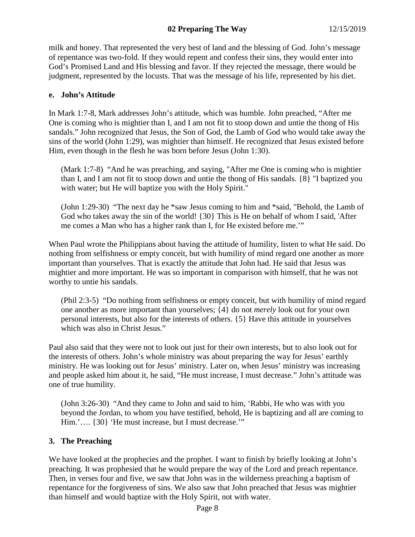# **02 Preparing The Way** 12/15/2019

milk and honey. That represented the very best of land and the blessing of God. John's message of repentance was two-fold. If they would repent and confess their sins, they would enter into God's Promised Land and His blessing and favor. If they rejected the message, there would be judgment, represented by the locusts. That was the message of his life, represented by his diet.

#### **e. John's Attitude**

In Mark 1:7-8, Mark addresses John's attitude, which was humble. John preached, "After me One is coming who is mightier than I, and I am not fit to stoop down and untie the thong of His sandals." John recognized that Jesus, the Son of God, the Lamb of God who would take away the sins of the world (John 1:29), was mightier than himself. He recognized that Jesus existed before Him, even though in the flesh he was born before Jesus (John 1:30).

(Mark 1:7-8) "And he was preaching, and saying, "After me One is coming who is mightier than I, and I am not fit to stoop down and untie the thong of His sandals. {8} "I baptized you with water; but He will baptize you with the Holy Spirit."

(John 1:29-30) "The next day he \*saw Jesus coming to him and \*said, "Behold, the Lamb of God who takes away the sin of the world! {30} This is He on behalf of whom I said, 'After me comes a Man who has a higher rank than I, for He existed before me.'"

When Paul wrote the Philippians about having the attitude of humility, listen to what He said. Do nothing from selfishness or empty conceit, but with humility of mind regard one another as more important than yourselves. That is exactly the attitude that John had. He said that Jesus was mightier and more important. He was so important in comparison with himself, that he was not worthy to untie his sandals.

(Phil 2:3-5) "Do nothing from selfishness or empty conceit, but with humility of mind regard one another as more important than yourselves; {4} do not *merely* look out for your own personal interests, but also for the interests of others. {5} Have this attitude in yourselves which was also in Christ Jesus."

Paul also said that they were not to look out just for their own interests, but to also look out for the interests of others. John's whole ministry was about preparing the way for Jesus' earthly ministry. He was looking out for Jesus' ministry. Later on, when Jesus' ministry was increasing and people asked him about it, he said, "He must increase, I must decrease." John's attitude was one of true humility.

(John 3:26-30) "And they came to John and said to him, 'Rabbi, He who was with you beyond the Jordan, to whom you have testified, behold, He is baptizing and all are coming to Him.'.... {30} 'He must increase, but I must decrease.'"

## **3. The Preaching**

We have looked at the prophecies and the prophet. I want to finish by briefly looking at John's preaching. It was prophesied that he would prepare the way of the Lord and preach repentance. Then, in verses four and five, we saw that John was in the wilderness preaching a baptism of repentance for the forgiveness of sins. We also saw that John preached that Jesus was mightier than himself and would baptize with the Holy Spirit, not with water.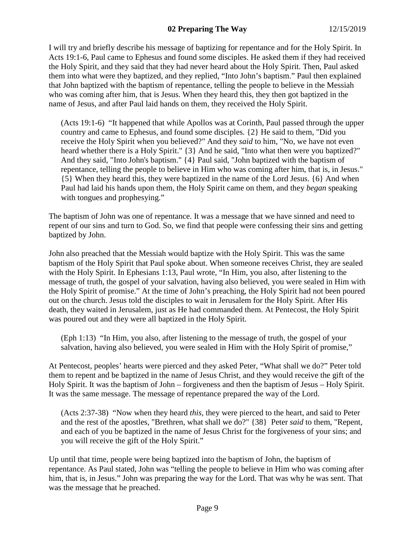# **02 Preparing The Way** 12/15/2019

I will try and briefly describe his message of baptizing for repentance and for the Holy Spirit. In Acts 19:1-6, Paul came to Ephesus and found some disciples. He asked them if they had received the Holy Spirit, and they said that they had never heard about the Holy Spirit. Then, Paul asked them into what were they baptized, and they replied, "Into John's baptism." Paul then explained that John baptized with the baptism of repentance, telling the people to believe in the Messiah who was coming after him, that is Jesus. When they heard this, they then got baptized in the name of Jesus, and after Paul laid hands on them, they received the Holy Spirit.

(Acts 19:1-6) "It happened that while Apollos was at Corinth, Paul passed through the upper country and came to Ephesus, and found some disciples. {2} He said to them, "Did you receive the Holy Spirit when you believed?" And they *said* to him, "No, we have not even heard whether there is a Holy Spirit." {3} And he said, "Into what then were you baptized?" And they said, "Into John's baptism." {4} Paul said, "John baptized with the baptism of repentance, telling the people to believe in Him who was coming after him, that is, in Jesus." {5} When they heard this, they were baptized in the name of the Lord Jesus. {6} And when Paul had laid his hands upon them, the Holy Spirit came on them, and they *began* speaking with tongues and prophesying."

The baptism of John was one of repentance. It was a message that we have sinned and need to repent of our sins and turn to God. So, we find that people were confessing their sins and getting baptized by John.

John also preached that the Messiah would baptize with the Holy Spirit. This was the same baptism of the Holy Spirit that Paul spoke about. When someone receives Christ, they are sealed with the Holy Spirit. In Ephesians 1:13, Paul wrote, "In Him, you also, after listening to the message of truth, the gospel of your salvation, having also believed, you were sealed in Him with the Holy Spirit of promise." At the time of John's preaching, the Holy Spirit had not been poured out on the church. Jesus told the disciples to wait in Jerusalem for the Holy Spirit. After His death, they waited in Jerusalem, just as He had commanded them. At Pentecost, the Holy Spirit was poured out and they were all baptized in the Holy Spirit.

(Eph 1:13) "In Him, you also, after listening to the message of truth, the gospel of your salvation, having also believed, you were sealed in Him with the Holy Spirit of promise,"

At Pentecost, peoples' hearts were pierced and they asked Peter, "What shall we do?" Peter told them to repent and be baptized in the name of Jesus Christ, and they would receive the gift of the Holy Spirit. It was the baptism of John – forgiveness and then the baptism of Jesus – Holy Spirit. It was the same message. The message of repentance prepared the way of the Lord.

(Acts 2:37-38) "Now when they heard *this,* they were pierced to the heart, and said to Peter and the rest of the apostles, "Brethren, what shall we do?" {38} Peter *said* to them, "Repent, and each of you be baptized in the name of Jesus Christ for the forgiveness of your sins; and you will receive the gift of the Holy Spirit."

Up until that time, people were being baptized into the baptism of John, the baptism of repentance. As Paul stated, John was "telling the people to believe in Him who was coming after him, that is, in Jesus." John was preparing the way for the Lord. That was why he was sent. That was the message that he preached.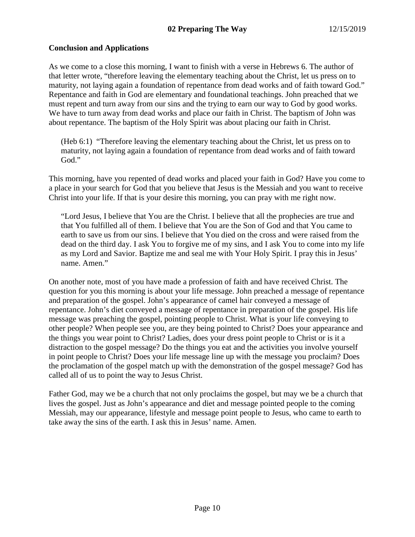# **Conclusion and Applications**

As we come to a close this morning, I want to finish with a verse in Hebrews 6. The author of that letter wrote, "therefore leaving the elementary teaching about the Christ, let us press on to maturity, not laying again a foundation of repentance from dead works and of faith toward God." Repentance and faith in God are elementary and foundational teachings. John preached that we must repent and turn away from our sins and the trying to earn our way to God by good works. We have to turn away from dead works and place our faith in Christ. The baptism of John was about repentance. The baptism of the Holy Spirit was about placing our faith in Christ.

(Heb 6:1) "Therefore leaving the elementary teaching about the Christ, let us press on to maturity, not laying again a foundation of repentance from dead works and of faith toward God."

This morning, have you repented of dead works and placed your faith in God? Have you come to a place in your search for God that you believe that Jesus is the Messiah and you want to receive Christ into your life. If that is your desire this morning, you can pray with me right now.

"Lord Jesus, I believe that You are the Christ. I believe that all the prophecies are true and that You fulfilled all of them. I believe that You are the Son of God and that You came to earth to save us from our sins. I believe that You died on the cross and were raised from the dead on the third day. I ask You to forgive me of my sins, and I ask You to come into my life as my Lord and Savior. Baptize me and seal me with Your Holy Spirit. I pray this in Jesus' name. Amen."

On another note, most of you have made a profession of faith and have received Christ. The question for you this morning is about your life message. John preached a message of repentance and preparation of the gospel. John's appearance of camel hair conveyed a message of repentance. John's diet conveyed a message of repentance in preparation of the gospel. His life message was preaching the gospel, pointing people to Christ. What is your life conveying to other people? When people see you, are they being pointed to Christ? Does your appearance and the things you wear point to Christ? Ladies, does your dress point people to Christ or is it a distraction to the gospel message? Do the things you eat and the activities you involve yourself in point people to Christ? Does your life message line up with the message you proclaim? Does the proclamation of the gospel match up with the demonstration of the gospel message? God has called all of us to point the way to Jesus Christ.

Father God, may we be a church that not only proclaims the gospel, but may we be a church that lives the gospel. Just as John's appearance and diet and message pointed people to the coming Messiah, may our appearance, lifestyle and message point people to Jesus, who came to earth to take away the sins of the earth. I ask this in Jesus' name. Amen.